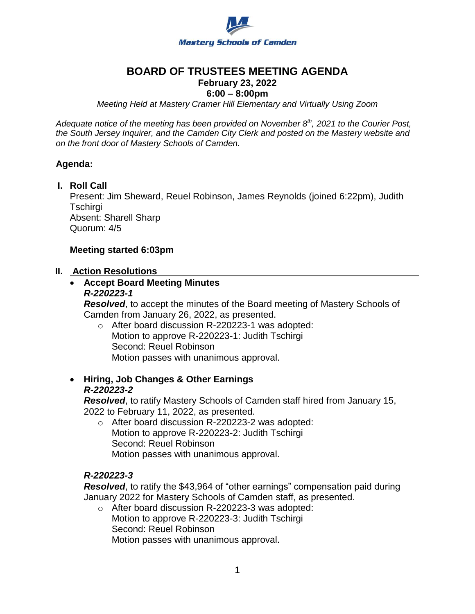

# **BOARD OF TRUSTEES MEETING AGENDA**

### **February 23, 2022**

### **6:00 – 8:00pm**

*Meeting Held at Mastery Cramer Hill Elementary and Virtually Using Zoom*

*Adequate notice of the meeting has been provided on November 8th, 2021 to the Courier Post, the South Jersey Inquirer, and the Camden City Clerk and posted on the Mastery website and on the front door of Mastery Schools of Camden.*

#### **Agenda:**

#### **I. Roll Call**

Present: Jim Sheward, Reuel Robinson, James Reynolds (joined 6:22pm), Judith Tschirgi Absent: Sharell Sharp Quorum: 4/5

#### **Meeting started 6:03pm**

#### **II. Action Resolutions**

# **Accept Board Meeting Minutes**

#### *R-220223-1*

*Resolved*, to accept the minutes of the Board meeting of Mastery Schools of Camden from January 26, 2022, as presented.

o After board discussion R-220223-1 was adopted: Motion to approve R-220223-1: Judith Tschirgi Second: Reuel Robinson Motion passes with unanimous approval.

### **Hiring, Job Changes & Other Earnings**  *R-220223-2*

*Resolved*, to ratify Mastery Schools of Camden staff hired from January 15, 2022 to February 11, 2022, as presented.

o After board discussion R-220223-2 was adopted: Motion to approve R-220223-2: Judith Tschirgi Second: Reuel Robinson Motion passes with unanimous approval.

### *R-220223-3*

*Resolved*, to ratify the \$43,964 of "other earnings" compensation paid during January 2022 for Mastery Schools of Camden staff, as presented.

o After board discussion R-220223-3 was adopted: Motion to approve R-220223-3: Judith Tschirgi Second: Reuel Robinson Motion passes with unanimous approval.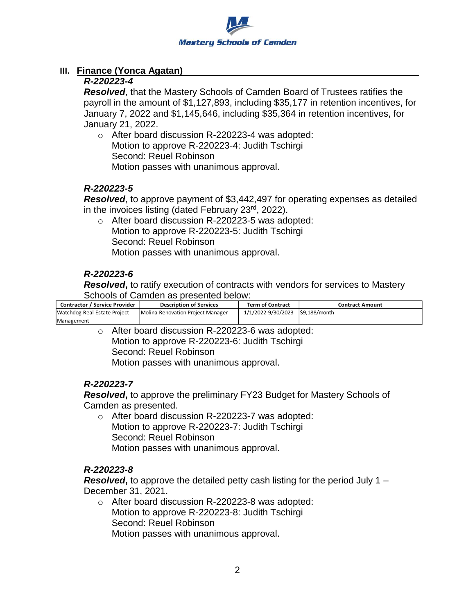

## **III. Finance (Yonca Agatan)**

### *R-220223-4*

*Resolved*, that the Mastery Schools of Camden Board of Trustees ratifies the payroll in the amount of \$1,127,893, including \$35,177 in retention incentives, for January 7, 2022 and \$1,145,646, including \$35,364 in retention incentives, for January 21, 2022.

o After board discussion R-220223-4 was adopted: Motion to approve R-220223-4: Judith Tschirgi Second: Reuel Robinson Motion passes with unanimous approval.

#### *R-220223-5*

*Resolved*, to approve payment of \$3,442,497 for operating expenses as detailed in the invoices listing (dated February 23<sup>rd</sup>, 2022).

o After board discussion R-220223-5 was adopted: Motion to approve R-220223-5: Judith Tschirgi Second: Reuel Robinson Motion passes with unanimous approval.

### *R-220223-6*

*Resolved*, to ratify execution of contracts with vendors for services to Mastery Schools of Camden as presented below:

| <b>Contractor / Service Provider</b> | <b>Description of Services</b>    | <b>Term of Contract</b>            | Contract Amount |
|--------------------------------------|-----------------------------------|------------------------------------|-----------------|
| Watchdog Real Estate Project         | Molina Renovation Project Manager | 1/1/2022-9/30/2023   \$9,188/month |                 |
| Management                           |                                   |                                    |                 |

o After board discussion R-220223-6 was adopted: Motion to approve R-220223-6: Judith Tschirgi Second: Reuel Robinson Motion passes with unanimous approval.

### *R-220223-7*

*Resolved***,** to approve the preliminary FY23 Budget for Mastery Schools of Camden as presented.

o After board discussion R-220223-7 was adopted: Motion to approve R-220223-7: Judith Tschirgi Second: Reuel Robinson Motion passes with unanimous approval.

### *R-220223-8*

*Resolved***,** to approve the detailed petty cash listing for the period July 1 – December 31, 2021.

o After board discussion R-220223-8 was adopted: Motion to approve R-220223-8: Judith Tschirgi Second: Reuel Robinson Motion passes with unanimous approval.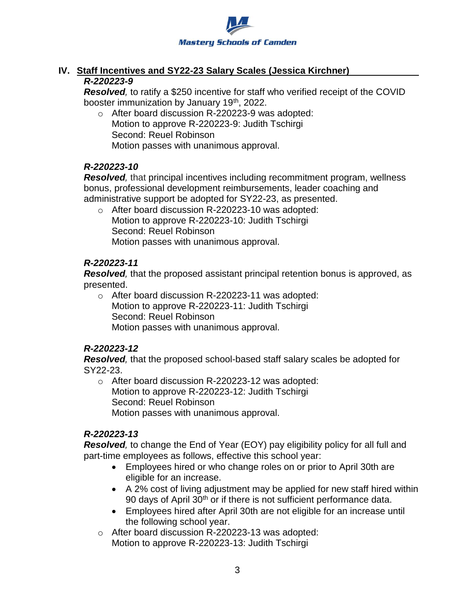

### **IV. Staff Incentives and SY22-23 Salary Scales (Jessica Kirchner)** *R-220223-9*

*Resolved,* to ratify a \$250 incentive for staff who verified receipt of the COVID booster immunization by January 19<sup>th</sup>, 2022.

o After board discussion R-220223-9 was adopted: Motion to approve R-220223-9: Judith Tschirgi Second: Reuel Robinson Motion passes with unanimous approval.

### *R-220223-10*

*Resolved,* that principal incentives including recommitment program, wellness bonus, professional development reimbursements, leader coaching and administrative support be adopted for SY22-23, as presented.

o After board discussion R-220223-10 was adopted: Motion to approve R-220223-10: Judith Tschirgi Second: Reuel Robinson Motion passes with unanimous approval.

### *R-220223-11*

*Resolved,* that the proposed assistant principal retention bonus is approved, as presented.

o After board discussion R-220223-11 was adopted: Motion to approve R-220223-11: Judith Tschirgi Second: Reuel Robinson Motion passes with unanimous approval.

## *R-220223-12*

*Resolved,* that the proposed school-based staff salary scales be adopted for SY22-23.

o After board discussion R-220223-12 was adopted: Motion to approve R-220223-12: Judith Tschirgi Second: Reuel Robinson Motion passes with unanimous approval.

## *R-220223-13*

*Resolved,* to change the End of Year (EOY) pay eligibility policy for all full and part-time employees as follows, effective this school year:

- Employees hired or who change roles on or prior to April 30th are eligible for an increase.
- A 2% cost of living adjustment may be applied for new staff hired within 90 days of April 30<sup>th</sup> or if there is not sufficient performance data.
- Employees hired after April 30th are not eligible for an increase until the following school year.
- o After board discussion R-220223-13 was adopted: Motion to approve R-220223-13: Judith Tschirgi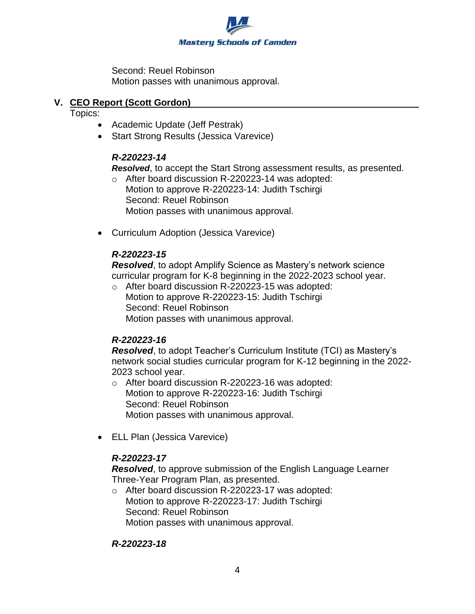

Second: Reuel Robinson Motion passes with unanimous approval.

### **V. CEO Report (Scott Gordon)**

Topics:

- Academic Update (Jeff Pestrak)
- Start Strong Results (Jessica Varevice)

### *R-220223-14*

*Resolved*, to accept the Start Strong assessment results, as presented.

- o After board discussion R-220223-14 was adopted: Motion to approve R-220223-14: Judith Tschirgi Second: Reuel Robinson Motion passes with unanimous approval.
- Curriculum Adoption (Jessica Varevice)

## *R-220223-15*

*Resolved*, to adopt Amplify Science as Mastery's network science curricular program for K-8 beginning in the 2022-2023 school year.

o After board discussion R-220223-15 was adopted: Motion to approve R-220223-15: Judith Tschirgi Second: Reuel Robinson Motion passes with unanimous approval.

## *R-220223-16*

*Resolved*, to adopt Teacher's Curriculum Institute (TCI) as Mastery's network social studies curricular program for K-12 beginning in the 2022- 2023 school year.

- o After board discussion R-220223-16 was adopted: Motion to approve R-220223-16: Judith Tschirgi Second: Reuel Robinson Motion passes with unanimous approval.
- ELL Plan (Jessica Varevice)

## *R-220223-17*

*Resolved*, to approve submission of the English Language Learner Three-Year Program Plan, as presented.

o After board discussion R-220223-17 was adopted: Motion to approve R-220223-17: Judith Tschirgi Second: Reuel Robinson Motion passes with unanimous approval.

### *R-220223-18*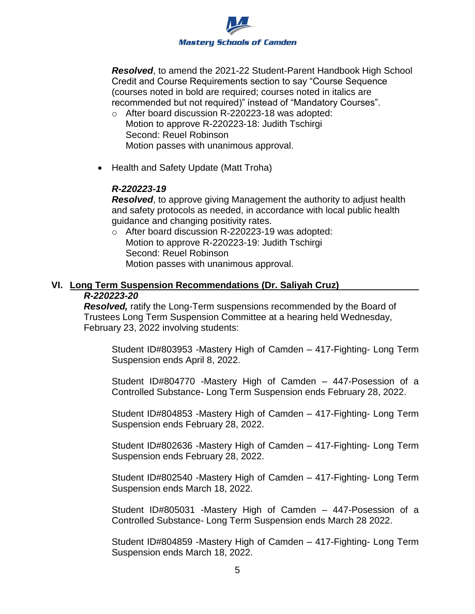

*Resolved*, to amend the 2021-22 Student-Parent Handbook High School Credit and Course Requirements section to say "Course Sequence (courses noted in bold are required; courses noted in italics are recommended but not required)" instead of "Mandatory Courses".

- o After board discussion R-220223-18 was adopted: Motion to approve R-220223-18: Judith Tschirgi Second: Reuel Robinson Motion passes with unanimous approval.
- Health and Safety Update (Matt Troha)

### *R-220223-19*

*Resolved*, to approve giving Management the authority to adjust health and safety protocols as needed, in accordance with local public health guidance and changing positivity rates.

o After board discussion R-220223-19 was adopted: Motion to approve R-220223-19: Judith Tschirgi Second: Reuel Robinson Motion passes with unanimous approval.

### **VI. Long Term Suspension Recommendations (Dr. Saliyah Cruz)** *R-220223-20*

*Resolved,* ratify the Long-Term suspensions recommended by the Board of Trustees Long Term Suspension Committee at a hearing held Wednesday, February 23, 2022 involving students:

Student ID#803953 -Mastery High of Camden – 417-Fighting- Long Term Suspension ends April 8, 2022.

Student ID#804770 -Mastery High of Camden – 447-Posession of a Controlled Substance- Long Term Suspension ends February 28, 2022.

Student ID#804853 -Mastery High of Camden – 417-Fighting- Long Term Suspension ends February 28, 2022.

Student ID#802636 -Mastery High of Camden – 417-Fighting- Long Term Suspension ends February 28, 2022.

Student ID#802540 -Mastery High of Camden – 417-Fighting- Long Term Suspension ends March 18, 2022.

Student ID#805031 -Mastery High of Camden – 447-Posession of a Controlled Substance- Long Term Suspension ends March 28 2022.

Student ID#804859 -Mastery High of Camden – 417-Fighting- Long Term Suspension ends March 18, 2022.